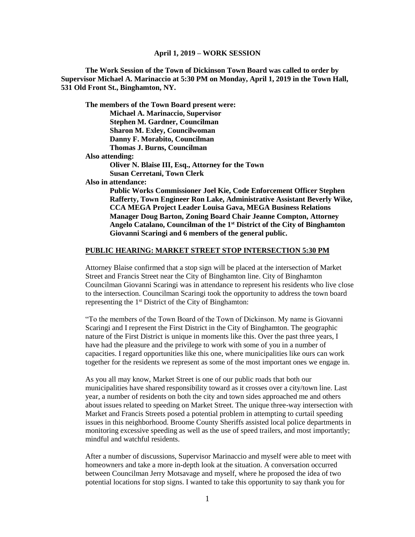**The Work Session of the Town of Dickinson Town Board was called to order by Supervisor Michael A. Marinaccio at 5:30 PM on Monday, April 1, 2019 in the Town Hall, 531 Old Front St., Binghamton, NY.**

**The members of the Town Board present were: Michael A. Marinaccio, Supervisor Stephen M. Gardner, Councilman Sharon M. Exley, Councilwoman Danny F. Morabito, Councilman Thomas J. Burns, Councilman Also attending: Oliver N. Blaise III, Esq., Attorney for the Town Susan Cerretani, Town Clerk Also in attendance:** 

**Public Works Commissioner Joel Kie, Code Enforcement Officer Stephen Rafferty, Town Engineer Ron Lake, Administrative Assistant Beverly Wike, CCA MEGA Project Leader Louisa Gava, MEGA Business Relations Manager Doug Barton, Zoning Board Chair Jeanne Compton, Attorney Angelo Catalano, Councilman of the 1st District of the City of Binghamton Giovanni Scaringi and 6 members of the general public.**

#### **PUBLIC HEARING: MARKET STREET STOP INTERSECTION 5:30 PM**

Attorney Blaise confirmed that a stop sign will be placed at the intersection of Market Street and Francis Street near the City of Binghamton line. City of Binghamton Councilman Giovanni Scaringi was in attendance to represent his residents who live close to the intersection. Councilman Scaringi took the opportunity to address the town board representing the 1<sup>st</sup> District of the City of Binghamton:

"To the members of the Town Board of the Town of Dickinson. My name is Giovanni Scaringi and I represent the First District in the City of Binghamton. The geographic nature of the First District is unique in moments like this. Over the past three years, I have had the pleasure and the privilege to work with some of you in a number of capacities. I regard opportunities like this one, where municipalities like ours can work together for the residents we represent as some of the most important ones we engage in.

As you all may know, Market Street is one of our public roads that both our municipalities have shared responsibility toward as it crosses over a city/town line. Last year, a number of residents on both the city and town sides approached me and others about issues related to speeding on Market Street. The unique three-way intersection with Market and Francis Streets posed a potential problem in attempting to curtail speeding issues in this neighborhood. Broome County Sheriffs assisted local police departments in monitoring excessive speeding as well as the use of speed trailers, and most importantly; mindful and watchful residents.

After a number of discussions, Supervisor Marinaccio and myself were able to meet with homeowners and take a more in-depth look at the situation. A conversation occurred between Councilman Jerry Motsavage and myself, where he proposed the idea of two potential locations for stop signs. I wanted to take this opportunity to say thank you for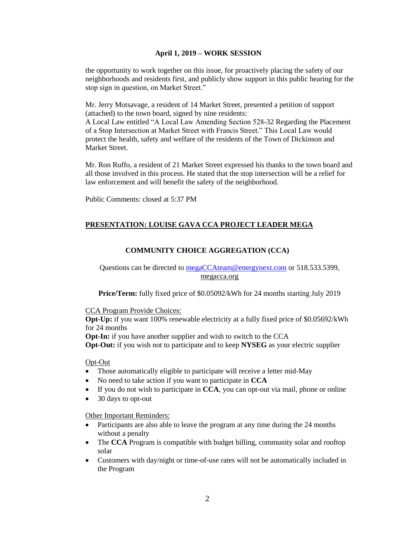the opportunity to work together on this issue, for proactively placing the safety of our neighborhoods and residents first, and publicly show support in this public hearing for the stop sign in question, on Market Street."

Mr. Jerry Motsavage, a resident of 14 Market Street, presented a petition of support (attached) to the town board, signed by nine residents:

A Local Law entitled "A Local Law Amending Section 528-32 Regarding the Placement of a Stop Intersection at Market Street with Francis Street." This Local Law would protect the health, safety and welfare of the residents of the Town of Dickinson and Market Street.

Mr. Ron Ruffo, a resident of 21 Market Street expressed his thanks to the town board and all those involved in this process. He stated that the stop intersection will be a relief for law enforcement and will benefit the safety of the neighborhood.

Public Comments: closed at 5:37 PM

## **PRESENTATION: LOUISE GAVA CCA PROJECT LEADER MEGA**

## **COMMUNITY CHOICE AGGREGATION (CCA)**

# Questions can be directed to [megaCCAteam@energynext.com](mailto:megaCCAteam@energynext.com) or 518.533.5399, megacca.org

Price/Term: fully fixed price of \$0.05092/kWh for 24 months starting July 2019

CCA Program Provide Choices:

**Opt-Up:** if you want 100% renewable electricity at a fully fixed price of \$0.05692/kWh for 24 months

**Opt-In:** if you have another supplier and wish to switch to the CCA

**Opt-Out:** if you wish not to participate and to keep **NYSEG** as your electric supplier

#### Opt-Out

- Those automatically eligible to participate will receive a letter mid-May
- No need to take action if you want to participate in **CCA**
- If you do not wish to participate in **CCA**, you can opt-out via mail, phone or online
- 30 days to opt-out

Other Important Reminders:

- Participants are also able to leave the program at any time during the 24 months without a penalty
- The **CCA** Program is compatible with budget billing, community solar and rooftop solar
- Customers with day/night or time-of-use rates will not be automatically included in the Program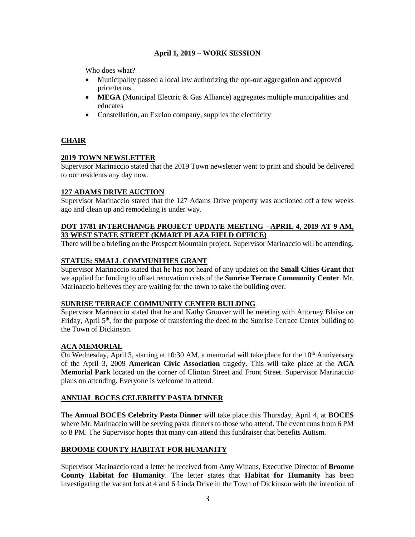Who does what?

- Municipality passed a local law authorizing the opt-out aggregation and approved price/terms
- **MEGA** (Municipal Electric & Gas Alliance) aggregates multiple municipalities and educates
- Constellation, an Exelon company, supplies the electricity

# **CHAIR**

### **2019 TOWN NEWSLETTER**

Supervisor Marinaccio stated that the 2019 Town newsletter went to print and should be delivered to our residents any day now.

## **127 ADAMS DRIVE AUCTION**

Supervisor Marinaccio stated that the 127 Adams Drive property was auctioned off a few weeks ago and clean up and remodeling is under way.

### **DOT 17/81 INTERCHANGE PROJECT UPDATE MEETING - APRIL 4, 2019 AT 9 AM, 33 WEST STATE STREET (KMART PLAZA FIELD OFFICE)**

There will be a briefing on the Prospect Mountain project. Supervisor Marinaccio will be attending.

## **STATUS: SMALL COMMUNITIES GRANT**

Supervisor Marinaccio stated that he has not heard of any updates on the **Small Cities Grant** that we applied for funding to offset renovation costs of the **Sunrise Terrace Community Center**. Mr. Marinaccio believes they are waiting for the town to take the building over.

# **SUNRISE TERRACE COMMUNITY CENTER BUILDING**

Supervisor Marinaccio stated that he and Kathy Groover will be meeting with Attorney Blaise on Friday, April 5<sup>th</sup>, for the purpose of transferring the deed to the Sunrise Terrace Center building to the Town of Dickinson.

# **ACA MEMORIAL**

On Wednesday, April 3, starting at 10:30 AM, a memorial will take place for the  $10<sup>th</sup>$  Anniversary of the April 3, 2009 **American Civic Association** tragedy. This will take place at the **ACA Memorial Park** located on the corner of Clinton Street and Front Street. Supervisor Marinaccio plans on attending. Everyone is welcome to attend.

# **ANNUAL BOCES CELEBRITY PASTA DINNER**

The **Annual BOCES Celebrity Pasta Dinner** will take place this Thursday, April 4, at **BOCES** where Mr. Marinaccio will be serving pasta dinners to those who attend. The event runs from 6 PM to 8 PM. The Supervisor hopes that many can attend this fundraiser that benefits Autism.

### **BROOME COUNTY HABITAT FOR HUMANITY**

Supervisor Marinaccio read a letter he received from Amy Winans, Executive Director of **Broome County Habitat for Humanity**. The letter states that **Habitat for Humanity** has been investigating the vacant lots at 4 and 6 Linda Drive in the Town of Dickinson with the intention of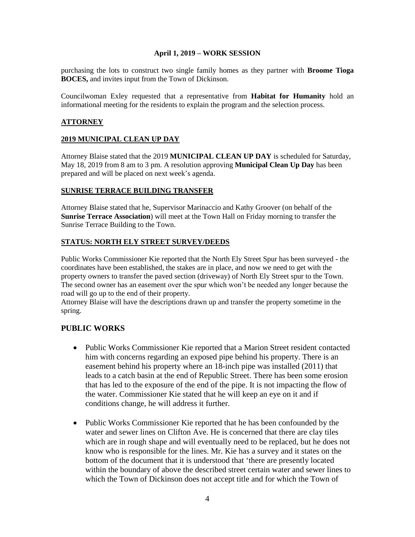purchasing the lots to construct two single family homes as they partner with **Broome Tioga BOCES,** and invites input from the Town of Dickinson.

Councilwoman Exley requested that a representative from **Habitat for Humanity** hold an informational meeting for the residents to explain the program and the selection process.

### **ATTORNEY**

### **2019 MUNICIPAL CLEAN UP DAY**

Attorney Blaise stated that the 2019 **MUNICIPAL CLEAN UP DAY** is scheduled for Saturday, May 18, 2019 from 8 am to 3 pm. A resolution approving **Municipal Clean Up Day** has been prepared and will be placed on next week's agenda.

### **SUNRISE TERRACE BUILDING TRANSFER**

Attorney Blaise stated that he, Supervisor Marinaccio and Kathy Groover (on behalf of the **Sunrise Terrace Association**) will meet at the Town Hall on Friday morning to transfer the Sunrise Terrace Building to the Town.

## **STATUS: NORTH ELY STREET SURVEY/DEEDS**

Public Works Commissioner Kie reported that the North Ely Street Spur has been surveyed - the coordinates have been established, the stakes are in place, and now we need to get with the property owners to transfer the paved section (driveway) of North Ely Street spur to the Town. The second owner has an easement over the spur which won't be needed any longer because the road will go up to the end of their property.

Attorney Blaise will have the descriptions drawn up and transfer the property sometime in the spring.

# **PUBLIC WORKS**

- Public Works Commissioner Kie reported that a Marion Street resident contacted him with concerns regarding an exposed pipe behind his property. There is an easement behind his property where an 18-inch pipe was installed (2011) that leads to a catch basin at the end of Republic Street. There has been some erosion that has led to the exposure of the end of the pipe. It is not impacting the flow of the water. Commissioner Kie stated that he will keep an eye on it and if conditions change, he will address it further.
- Public Works Commissioner Kie reported that he has been confounded by the water and sewer lines on Clifton Ave. He is concerned that there are clay tiles which are in rough shape and will eventually need to be replaced, but he does not know who is responsible for the lines. Mr. Kie has a survey and it states on the bottom of the document that it is understood that 'there are presently located within the boundary of above the described street certain water and sewer lines to which the Town of Dickinson does not accept title and for which the Town of